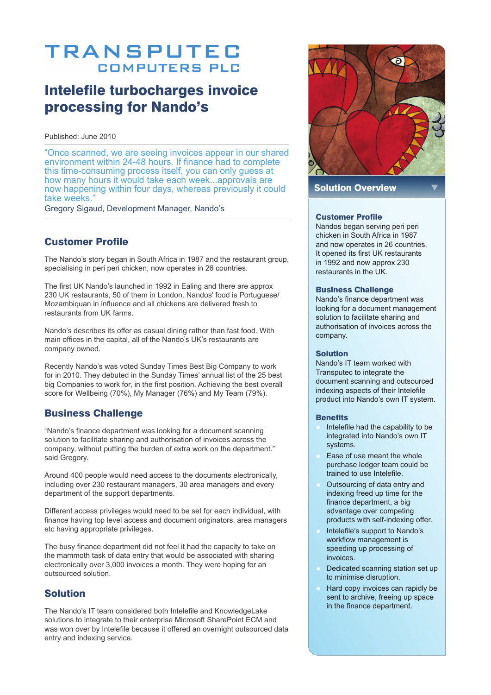# **TRANSPUTEC COMPUTERS PLC**

## Intelefile turbocharges invoice processing for Nando's

Published: June 2010

"Once scanned, we are seeing invoices appear in our shared environment within 24-48 hours. If finance had to complete this time-consuming process itself, you can only guess at how many hours it would take each week...approvals are now happening within four days, whereas previously it could take weeks."

Gregory Sigaud, Development Manager, Nando's

## Customer Profile

The Nando's story began in South Africa in 1987 and the restaurant group, specialising in peri peri chicken, now operates in 26 countries.

The first UK Nando's launched in 1992 in Ealing and there are approx 230 UK restaurants, 50 of them in London. Nandos' food is Portuguese/ Mozambiquan in influence and all chickens are delivered fresh to restaurants from UK farms.

Nando's describes its offer as casual dining rather than fast food. With main offices in the capital, all of the Nando's UK's restaurants are company owned.

Recently Nando's was voted Sunday Times Best Big Company to work for in 2010. They debuted in the Sunday Times' annual list of the 25 best big Companies to work for, in the first position. Achieving the best overall score for Wellbeing (70%), My Manager (76%) and My Team (79%).

## Business Challenge

"Nando's finance department was looking for a document scanning solution to facilitate sharing and authorisation of invoices across the company, without putting the burden of extra work on the department." said Gregory.

Around 400 people would need access to the documents electronically, including over 230 restaurant managers, 30 area managers and every department of the support departments.

Different access privileges would need to be set for each individual, with finance having top level access and document originators, area managers etc having appropriate privileges.

The busy finance department did not feel it had the capacity to take on the mammoth task of data entry that would be associated with sharing electronically over 3,000 invoices a month. They were hoping for an outsourced solution.

## Solution

The Nando's IT team considered both Intelefile and KnowledgeLake solutions to integrate to their enterprise Microsoft SharePoint ECM and was won over by Intelefile because it offered an overnight outsourced data entry and indexing service.



Solution Overview

#### Customer Profile

Nandos began serving peri peri chicken in South Africa in 1987 and now operates in 26 countries. It opened its first UK restaurants in 1992 and now approx 230 restaurants in the UK.

#### Business Challenge

Nando's finance department was looking for a document management solution to facilitate sharing and authorisation of invoices across the company.

#### Solution

Nando's IT team worked with Transputec to integrate the document scanning and outsourced indexing aspects of their Intelefile product into Nando's own IT system.

#### **Benefits**

- Intelefile had the capability to be integrated into Nando's own IT systems.
- Ease of use meant the whole purchase ledger team could be trained to use Intelefile.
- Outsourcing of data entry and indexing freed up time for the finance department, a big advantage over competing products with self-indexing offer.
- Intelefile's support to Nando's workflow management is speeding up processing of invoices.
- Dedicated scanning station set up to minimise disruption.
- Hard copy invoices can rapidly be sent to archive, freeing up space in the finance department.